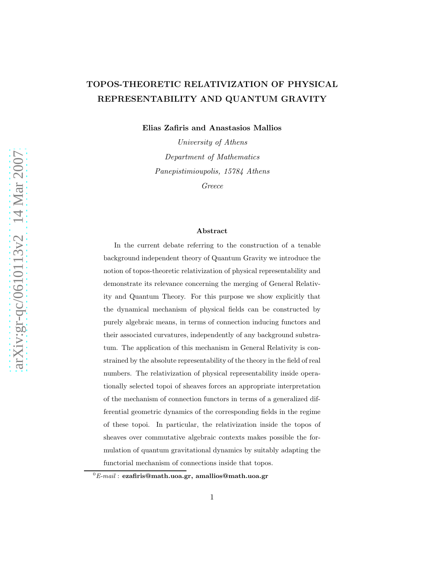## TOPOS-THEORETIC RELATIVIZATION OF PHYSICAL REPRESENTABILITY AND QUANTUM GRAVITY

Elias Zafiris and Anastasios Mallios

University of Athens Department of Mathematics Panepistimioupolis, 15784 Athens

Greece

#### Abstract

In the current debate referring to the construction of a tenable background independent theory of Quantum Gravity we introduce the notion of topos-theoretic relativization of physical representability and demonstrate its relevance concerning the merging of General Relativity and Quantum Theory. For this purpose we show explicitly that the dynamical mechanism of physical fields can be constructed by purely algebraic means, in terms of connection inducing functors and their associated curvatures, independently of any background substratum. The application of this mechanism in General Relativity is constrained by the absolute representability of the theory in the field of real numbers. The relativization of physical representability inside operationally selected topoi of sheaves forces an appropriate interpretation of the mechanism of connection functors in terms of a generalized differential geometric dynamics of the corresponding fields in the regime of these topoi. In particular, the relativization inside the topos of sheaves over commutative algebraic contexts makes possible the formulation of quantum gravitational dynamics by suitably adapting the functorial mechanism of connections inside that topos.

 ${}^0E\text{-}mail:$  <code>ezafiris@math.uoa.gr,</code> amallios@math.uoa.gr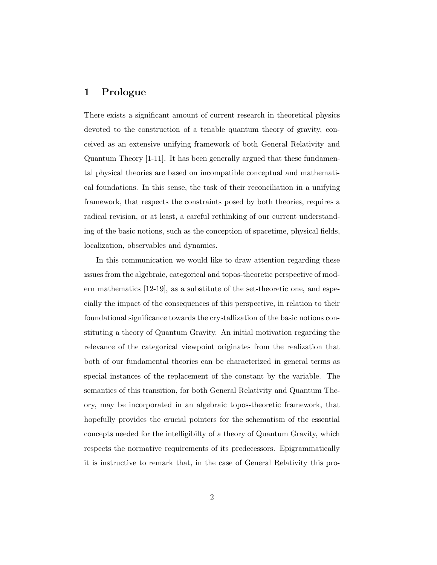## 1 Prologue

There exists a significant amount of current research in theoretical physics devoted to the construction of a tenable quantum theory of gravity, conceived as an extensive unifying framework of both General Relativity and Quantum Theory [1-11]. It has been generally argued that these fundamental physical theories are based on incompatible conceptual and mathematical foundations. In this sense, the task of their reconciliation in a unifying framework, that respects the constraints posed by both theories, requires a radical revision, or at least, a careful rethinking of our current understanding of the basic notions, such as the conception of spacetime, physical fields, localization, observables and dynamics.

In this communication we would like to draw attention regarding these issues from the algebraic, categorical and topos-theoretic perspective of modern mathematics [12-19], as a substitute of the set-theoretic one, and especially the impact of the consequences of this perspective, in relation to their foundational significance towards the crystallization of the basic notions constituting a theory of Quantum Gravity. An initial motivation regarding the relevance of the categorical viewpoint originates from the realization that both of our fundamental theories can be characterized in general terms as special instances of the replacement of the constant by the variable. The semantics of this transition, for both General Relativity and Quantum Theory, may be incorporated in an algebraic topos-theoretic framework, that hopefully provides the crucial pointers for the schematism of the essential concepts needed for the intelligibilty of a theory of Quantum Gravity, which respects the normative requirements of its predecessors. Epigrammatically it is instructive to remark that, in the case of General Relativity this pro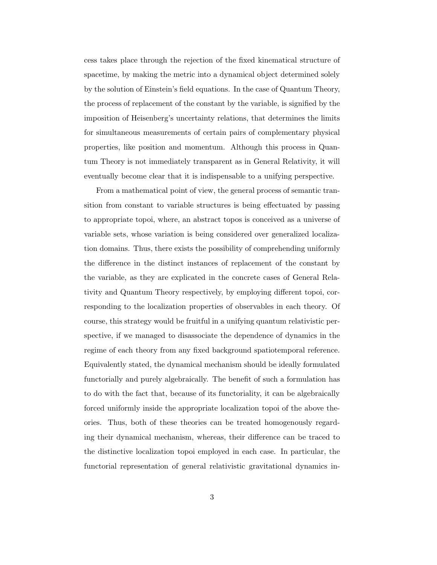cess takes place through the rejection of the fixed kinematical structure of spacetime, by making the metric into a dynamical object determined solely by the solution of Einstein's field equations. In the case of Quantum Theory, the process of replacement of the constant by the variable, is signified by the imposition of Heisenberg's uncertainty relations, that determines the limits for simultaneous measurements of certain pairs of complementary physical properties, like position and momentum. Although this process in Quantum Theory is not immediately transparent as in General Relativity, it will eventually become clear that it is indispensable to a unifying perspective.

From a mathematical point of view, the general process of semantic transition from constant to variable structures is being effectuated by passing to appropriate topoi, where, an abstract topos is conceived as a universe of variable sets, whose variation is being considered over generalized localization domains. Thus, there exists the possibility of comprehending uniformly the difference in the distinct instances of replacement of the constant by the variable, as they are explicated in the concrete cases of General Relativity and Quantum Theory respectively, by employing different topoi, corresponding to the localization properties of observables in each theory. Of course, this strategy would be fruitful in a unifying quantum relativistic perspective, if we managed to disassociate the dependence of dynamics in the regime of each theory from any fixed background spatiotemporal reference. Equivalently stated, the dynamical mechanism should be ideally formulated functorially and purely algebraically. The benefit of such a formulation has to do with the fact that, because of its functoriality, it can be algebraically forced uniformly inside the appropriate localization topoi of the above theories. Thus, both of these theories can be treated homogenously regarding their dynamical mechanism, whereas, their difference can be traced to the distinctive localization topoi employed in each case. In particular, the functorial representation of general relativistic gravitational dynamics in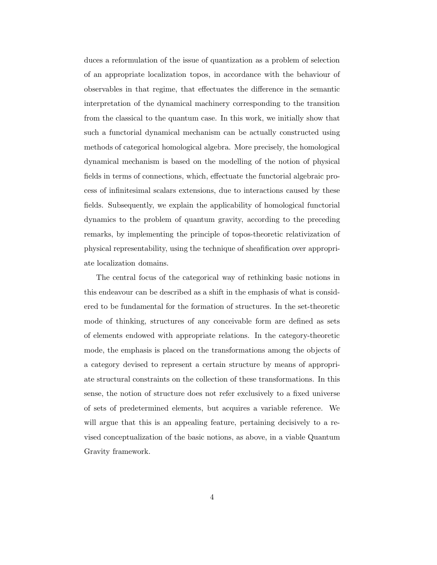duces a reformulation of the issue of quantization as a problem of selection of an appropriate localization topos, in accordance with the behaviour of observables in that regime, that effectuates the difference in the semantic interpretation of the dynamical machinery corresponding to the transition from the classical to the quantum case. In this work, we initially show that such a functorial dynamical mechanism can be actually constructed using methods of categorical homological algebra. More precisely, the homological dynamical mechanism is based on the modelling of the notion of physical fields in terms of connections, which, effectuate the functorial algebraic process of infinitesimal scalars extensions, due to interactions caused by these fields. Subsequently, we explain the applicability of homological functorial dynamics to the problem of quantum gravity, according to the preceding remarks, by implementing the principle of topos-theoretic relativization of physical representability, using the technique of sheafification over appropriate localization domains.

The central focus of the categorical way of rethinking basic notions in this endeavour can be described as a shift in the emphasis of what is considered to be fundamental for the formation of structures. In the set-theoretic mode of thinking, structures of any conceivable form are defined as sets of elements endowed with appropriate relations. In the category-theoretic mode, the emphasis is placed on the transformations among the objects of a category devised to represent a certain structure by means of appropriate structural constraints on the collection of these transformations. In this sense, the notion of structure does not refer exclusively to a fixed universe of sets of predetermined elements, but acquires a variable reference. We will argue that this is an appealing feature, pertaining decisively to a revised conceptualization of the basic notions, as above, in a viable Quantum Gravity framework.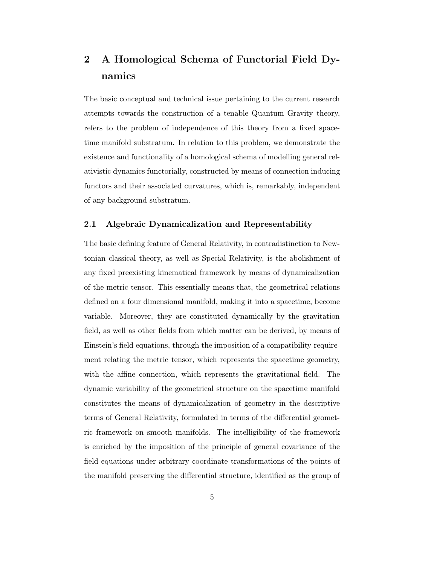# 2 A Homological Schema of Functorial Field Dynamics

The basic conceptual and technical issue pertaining to the current research attempts towards the construction of a tenable Quantum Gravity theory, refers to the problem of independence of this theory from a fixed spacetime manifold substratum. In relation to this problem, we demonstrate the existence and functionality of a homological schema of modelling general relativistic dynamics functorially, constructed by means of connection inducing functors and their associated curvatures, which is, remarkably, independent of any background substratum.

### 2.1 Algebraic Dynamicalization and Representability

The basic defining feature of General Relativity, in contradistinction to Newtonian classical theory, as well as Special Relativity, is the abolishment of any fixed preexisting kinematical framework by means of dynamicalization of the metric tensor. This essentially means that, the geometrical relations defined on a four dimensional manifold, making it into a spacetime, become variable. Moreover, they are constituted dynamically by the gravitation field, as well as other fields from which matter can be derived, by means of Einstein's field equations, through the imposition of a compatibility requirement relating the metric tensor, which represents the spacetime geometry, with the affine connection, which represents the gravitational field. The dynamic variability of the geometrical structure on the spacetime manifold constitutes the means of dynamicalization of geometry in the descriptive terms of General Relativity, formulated in terms of the differential geometric framework on smooth manifolds. The intelligibility of the framework is enriched by the imposition of the principle of general covariance of the field equations under arbitrary coordinate transformations of the points of the manifold preserving the differential structure, identified as the group of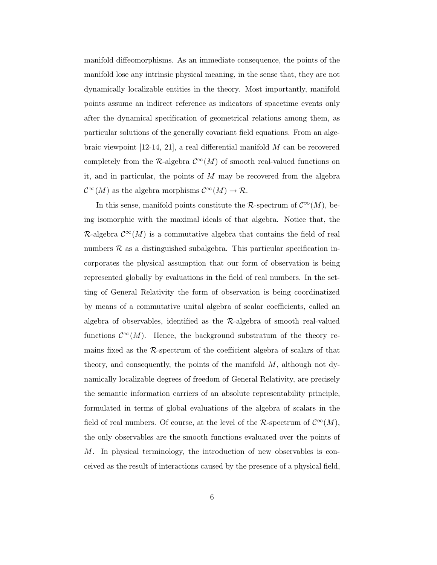manifold diffeomorphisms. As an immediate consequence, the points of the manifold lose any intrinsic physical meaning, in the sense that, they are not dynamically localizable entities in the theory. Most importantly, manifold points assume an indirect reference as indicators of spacetime events only after the dynamical specification of geometrical relations among them, as particular solutions of the generally covariant field equations. From an algebraic viewpoint  $[12-14, 21]$ , a real differential manifold M can be recovered completely from the R-algebra  $\mathcal{C}^{\infty}(M)$  of smooth real-valued functions on it, and in particular, the points of  $M$  may be recovered from the algebra  $\mathcal{C}^{\infty}(M)$  as the algebra morphisms  $\mathcal{C}^{\infty}(M) \to \mathcal{R}$ .

In this sense, manifold points constitute the  $\mathcal{R}\text{-spectrum of }\mathcal{C}^{\infty}(M)$ , being isomorphic with the maximal ideals of that algebra. Notice that, the  $\mathcal{R}$ -algebra  $\mathcal{C}^{\infty}(M)$  is a commutative algebra that contains the field of real numbers  $\mathcal R$  as a distinguished subalgebra. This particular specification incorporates the physical assumption that our form of observation is being represented globally by evaluations in the field of real numbers. In the setting of General Relativity the form of observation is being coordinatized by means of a commutative unital algebra of scalar coefficients, called an algebra of observables, identified as the  $\mathcal{R}$ -algebra of smooth real-valued functions  $\mathcal{C}^{\infty}(M)$ . Hence, the background substratum of the theory remains fixed as the R-spectrum of the coefficient algebra of scalars of that theory, and consequently, the points of the manifold  $M$ , although not dynamically localizable degrees of freedom of General Relativity, are precisely the semantic information carriers of an absolute representability principle, formulated in terms of global evaluations of the algebra of scalars in the field of real numbers. Of course, at the level of the R-spectrum of  $\mathcal{C}^{\infty}(M)$ , the only observables are the smooth functions evaluated over the points of M. In physical terminology, the introduction of new observables is conceived as the result of interactions caused by the presence of a physical field,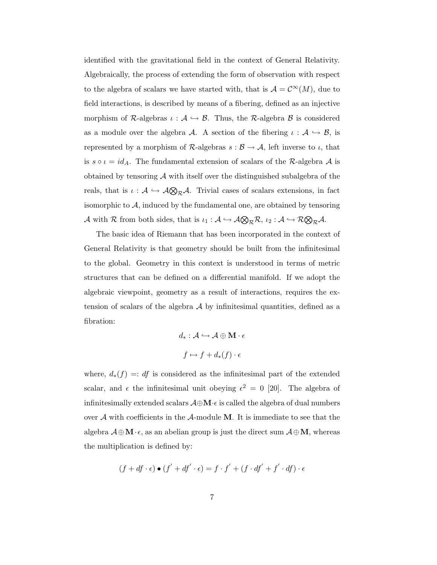identified with the gravitational field in the context of General Relativity. Algebraically, the process of extending the form of observation with respect to the algebra of scalars we have started with, that is  $\mathcal{A} = \mathcal{C}^{\infty}(M)$ , due to field interactions, is described by means of a fibering, defined as an injective morphism of R-algebras  $\iota : \mathcal{A} \hookrightarrow \mathcal{B}$ . Thus, the R-algebra  $\mathcal{B}$  is considered as a module over the algebra A. A section of the fibering  $\iota : A \hookrightarrow B$ , is represented by a morphism of  $\mathcal{R}\text{-algebras } s : \mathcal{B} \to \mathcal{A}$ , left inverse to  $\iota$ , that is  $s \circ \iota = id_A$ . The fundamental extension of scalars of the R-algebra A is obtained by tensoring  $A$  with itself over the distinguished subalgebra of the reals, that is  $\iota : A \hookrightarrow A \otimes_R A$ . Trivial cases of scalars extensions, in fact isomorphic to  $A$ , induced by the fundamental one, are obtained by tensoring A with R from both sides, that is  $\iota_1: \mathcal{A} \hookrightarrow \mathcal{A} \otimes_{\mathcal{R}} \mathcal{R}, \iota_2: \mathcal{A} \hookrightarrow \mathcal{R} \otimes_{\mathcal{R}} \mathcal{A}.$ 

The basic idea of Riemann that has been incorporated in the context of General Relativity is that geometry should be built from the infinitesimal to the global. Geometry in this context is understood in terms of metric structures that can be defined on a differential manifold. If we adopt the algebraic viewpoint, geometry as a result of interactions, requires the extension of scalars of the algebra  $A$  by infinitesimal quantities, defined as a fibration:

$$
d_*: \mathcal{A} \hookrightarrow \mathcal{A} \oplus \mathbf{M} \cdot \epsilon
$$

$$
f \mapsto f + d_*(f) \cdot \epsilon
$$

where,  $d_*(f) =: df$  is considered as the infinitesimal part of the extended scalar, and  $\epsilon$  the infinitesimal unit obeying  $\epsilon^2 = 0$  [20]. The algebra of infinitesimally extended scalars  $\mathcal{A} \oplus \mathbf{M} \cdot \epsilon$  is called the algebra of dual numbers over  $\mathcal A$  with coefficients in the  $\mathcal A$ -module **M**. It is immediate to see that the algebra  $\mathcal{A} \oplus \mathbf{M} \cdot \epsilon$ , as an abelian group is just the direct sum  $\mathcal{A} \oplus \mathbf{M}$ , whereas the multiplication is defined by:

$$
(f + df \cdot \epsilon) \bullet (f' + df' \cdot \epsilon) = f \cdot f' + (f \cdot df' + f' \cdot df) \cdot \epsilon
$$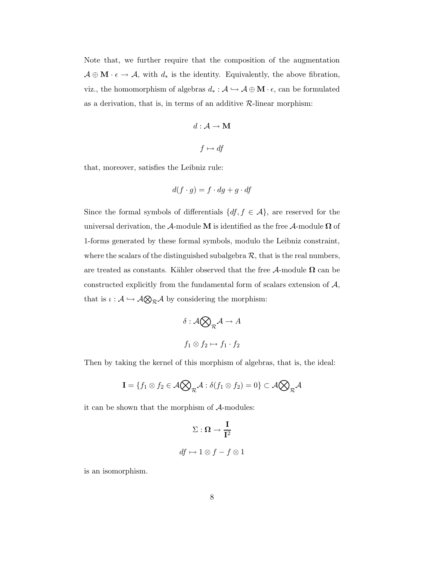Note that, we further require that the composition of the augmentation  $\mathcal{A} \oplus \mathbf{M} \cdot \epsilon \to \mathcal{A}$ , with  $d_*$  is the identity. Equivalently, the above fibration, viz., the homomorphism of algebras  $d_*: \mathcal{A} \hookrightarrow \mathcal{A} \oplus \mathbf{M} \cdot \epsilon,$  can be formulated as a derivation, that is, in terms of an additive  $\mathcal{R}\text{-linear morphism:}$ 

$$
d: \mathcal{A} \to \mathbf{M}
$$

$$
f \mapsto df
$$

that, moreover, satisfies the Leibniz rule:

$$
d(f \cdot g) = f \cdot dg + g \cdot df
$$

Since the formal symbols of differentials  $\{df, f \in \mathcal{A}\}$ , are reserved for the universal derivation, the  $\mathcal A$ -module M is identified as the free  $\mathcal A$ -module  $\Omega$  of 1-forms generated by these formal symbols, modulo the Leibniz constraint, where the scalars of the distinguished subalgebra  $\mathcal{R}$ , that is the real numbers, are treated as constants. Kähler observed that the free  $A$ -module  $\Omega$  can be constructed explicitly from the fundamental form of scalars extension of  $A$ , that is  $\iota : \mathcal{A} \hookrightarrow \mathcal{A} \otimes_{\mathcal{R}} \mathcal{A}$  by considering the morphism:

$$
\delta: \mathcal{A} \bigotimes_{\mathcal{R}} \mathcal{A} \to A
$$

$$
f_1 \otimes f_2 \mapsto f_1 \cdot f_2
$$

Then by taking the kernel of this morphism of algebras, that is, the ideal:

$$
\mathbf{I} = \{f_1 \otimes f_2 \in \mathcal{A} \bigotimes_{\mathcal{R}} \mathcal{A} : \delta(f_1 \otimes f_2) = 0\} \subset \mathcal{A} \bigotimes_{\mathcal{R}} \mathcal{A}
$$

it can be shown that the morphism of A-modules:

$$
\Sigma: \Omega \to \frac{\mathbf{I}}{\mathbf{I}^2}
$$
  

$$
df \mapsto 1 \otimes f - f \otimes 1
$$

is an isomorphism.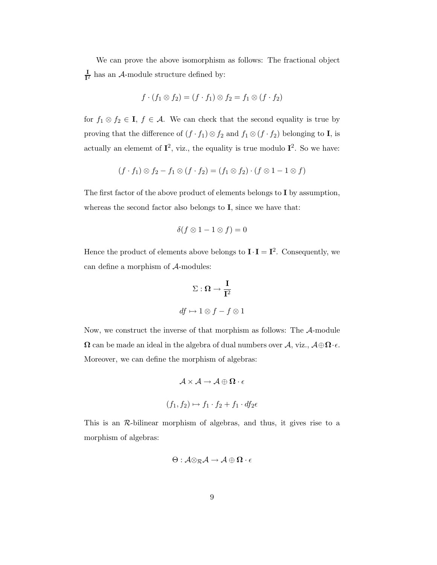We can prove the above isomorphism as follows: The fractional object I  $\frac{1}{\Gamma^2}$  has an A-module structure defined by:

$$
f \cdot (f_1 \otimes f_2) = (f \cdot f_1) \otimes f_2 = f_1 \otimes (f \cdot f_2)
$$

for  $f_1 \otimes f_2 \in I$ ,  $f \in A$ . We can check that the second equality is true by proving that the difference of  $(f \cdot f_1) \otimes f_2$  and  $f_1 \otimes (f \cdot f_2)$  belonging to **I**, is actually an elememt of  $I^2$ , viz., the equality is true modulo  $I^2$ . So we have:

$$
(f \cdot f_1) \otimes f_2 - f_1 \otimes (f \cdot f_2) = (f_1 \otimes f_2) \cdot (f \otimes 1 - 1 \otimes f)
$$

The first factor of the above product of elements belongs to I by assumption, whereas the second factor also belongs to **I**, since we have that:

$$
\delta(f \otimes 1 - 1 \otimes f) = 0
$$

Hence the product of elements above belongs to  $I \cdot I = I^2$ . Consequently, we can define a morphism of A-modules:

$$
\Sigma: \Omega \to \frac{I}{I^2}
$$
  

$$
df \mapsto 1 \otimes f - f \otimes 1
$$

Now, we construct the inverse of that morphism as follows: The A-module  $\Omega$  can be made an ideal in the algebra of dual numbers over  $\mathcal{A}$ , viz.,  $\mathcal{A} \oplus \Omega \cdot \epsilon$ . Moreover, we can define the morphism of algebras:

$$
\mathcal{A} \times \mathcal{A} \to \mathcal{A} \oplus \mathbf{\Omega} \cdot \epsilon
$$
  

$$
(f_1, f_2) \mapsto f_1 \cdot f_2 + f_1 \cdot df_2 \epsilon
$$

This is an  $\mathcal{R}$ -bilinear morphism of algebras, and thus, it gives rise to a morphism of algebras:

$$
\Theta: \mathcal{A} {\otimes}_{\mathcal{R}} \mathcal{A} \rightarrow \mathcal{A} \oplus \Omega \cdot \epsilon
$$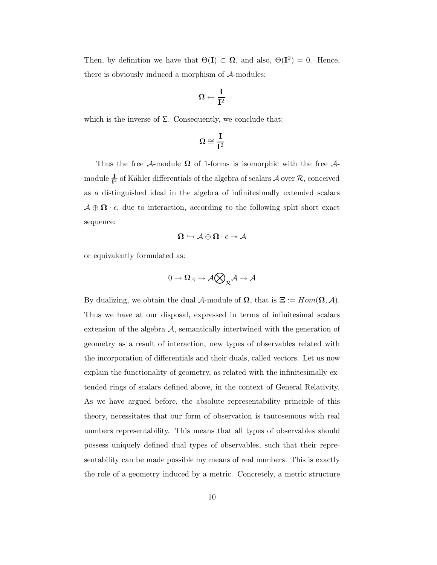Then, by definition we have that  $\Theta(I) \subset \Omega$ , and also,  $\Theta(I^2) = 0$ . Hence, there is obviously induced a morphism of  $A$ -modules:

$$
\Omega \gets \frac{I}{I^2}
$$

which is the inverse of  $\Sigma$ . Consequently, we conclude that:

$$
\Omega\cong\frac{I}{I^2}
$$

Thus the free A-module  $\Omega$  of 1-forms is isomorphic with the free Amodule  $\frac{1}{I^2}$  of Kähler differentials of the algebra of scalars  ${\cal A}$  over  ${\cal R},$  conceived as a distinguished ideal in the algebra of infinitesimally extended scalars  $\mathcal{A} \oplus \mathbf{\Omega} \cdot \epsilon$ , due to interaction, according to the following split short exact sequence:

$$
\Omega\hookrightarrow \mathcal{A}\oplus\Omega\cdot\epsilon\twoheadrightarrow\mathcal{A}
$$

or equivalently formulated as:

$$
0\to\boldsymbol{\Omega}_A\to\mathcal{A}\bigotimes_{\mathcal{R}}\mathcal{A}\to\mathcal{A}
$$

By dualizing, we obtain the dual A-module of  $\Omega$ , that is  $\Xi := Hom(\Omega, \mathcal{A})$ . Thus we have at our disposal, expressed in terms of infinitesimal scalars extension of the algebra  $A$ , semantically intertwined with the generation of geometry as a result of interaction, new types of observables related with the incorporation of differentials and their duals, called vectors. Let us now explain the functionality of geometry, as related with the infinitesimally extended rings of scalars defined above, in the context of General Relativity. As we have argued before, the absolute representability principle of this theory, necessitates that our form of observation is tautosemous with real numbers representability. This means that all types of observables should possess uniquely defined dual types of observables, such that their representability can be made possible my means of real numbers. This is exactly the role of a geometry induced by a metric. Concretely, a metric structure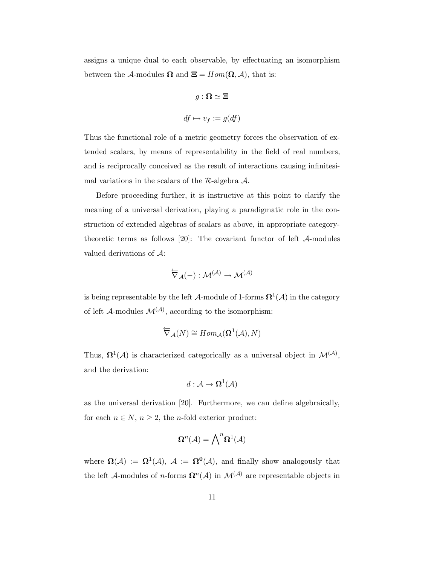assigns a unique dual to each observable, by effectuating an isomorphism between the A-modules  $\Omega$  and  $\Xi = Hom(\Omega, \mathcal{A})$ , that is:

$$
g: \Omega \simeq \Xi
$$
  

$$
df \mapsto v_f := g(df)
$$

Thus the functional role of a metric geometry forces the observation of extended scalars, by means of representability in the field of real numbers, and is reciprocally conceived as the result of interactions causing infinitesimal variations in the scalars of the  $\mathcal{R}\text{-algebra }\mathcal{A}.$ 

Before proceeding further, it is instructive at this point to clarify the meaning of a universal derivation, playing a paradigmatic role in the construction of extended algebras of scalars as above, in appropriate categorytheoretic terms as follows [20]: The covariant functor of left  $A$ -modules valued derivations of A:

$$
\overleftarrow{\nabla}_{\mathcal{A}}(-): \mathcal{M}^{(\mathcal{A})} \to \mathcal{M}^{(\mathcal{A})}
$$

is being representable by the left  $\mathcal{A}\text{-module of 1-forms } \mathbf{\Omega}^1(\mathcal{A})$  in the category of left  $\mathcal{A}$ -modules  $\mathcal{M}^{(\mathcal{A})}$ , according to the isomorphism:

$$
\overleftarrow{\nabla}_{\mathcal{A}}(N) \cong Hom_{\mathcal{A}}(\mathbf{\Omega}^1(\mathcal{A}), N)
$$

Thus,  $\Omega^1(\mathcal{A})$  is characterized categorically as a universal object in  $\mathcal{M}^{(\mathcal{A})}$ , and the derivation:

$$
d: \mathcal{A} \to \mathbf{\Omega}^1(\mathcal{A})
$$

as the universal derivation [20]. Furthermore, we can define algebraically, for each  $n\in N,$   $n\geq 2,$  the  $n\text{-fold exterior product:}$ 

$$
\Omega^n(\mathcal{A})=\bigwedge\nolimits^n\Omega^1(\mathcal{A})
$$

where  $\Omega(\mathcal{A}) := \Omega^1(\mathcal{A}), \ \mathcal{A} := \Omega^0(\mathcal{A}),$  and finally show analogously that the left A-modules of *n*-forms  $\Omega^n(\mathcal{A})$  in  $\mathcal{M}^{(\mathcal{A})}$  are representable objects in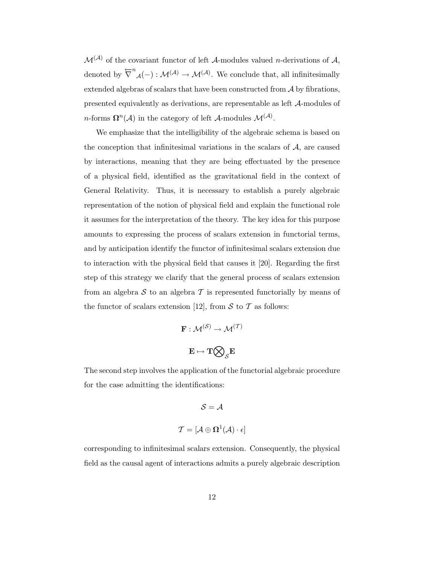$\mathcal{M}^{(\mathcal{A})}$  of the covariant functor of left  $\mathcal{A}$ -modules valued *n*-derivations of  $\mathcal{A}$ , denoted by  $\overleftarrow{\nabla}^n_{\mathcal{A}}(-) : \mathcal{M}^{(\mathcal{A})} \to \mathcal{M}^{(\mathcal{A})}$ . We conclude that, all infinitesimally extended algebras of scalars that have been constructed from  $A$  by fibrations, presented equivalently as derivations, are representable as left A-modules of *n*-forms  $\Omega^n(\mathcal{A})$  in the category of left  $\mathcal{A}\text{-modules } \mathcal{M}^{(\mathcal{A})}$ .

We emphasize that the intelligibility of the algebraic schema is based on the conception that infinitesimal variations in the scalars of  $A$ , are caused by interactions, meaning that they are being effectuated by the presence of a physical field, identified as the gravitational field in the context of General Relativity. Thus, it is necessary to establish a purely algebraic representation of the notion of physical field and explain the functional role it assumes for the interpretation of the theory. The key idea for this purpose amounts to expressing the process of scalars extension in functorial terms, and by anticipation identify the functor of infinitesimal scalars extension due to interaction with the physical field that causes it [20]. Regarding the first step of this strategy we clarify that the general process of scalars extension from an algebra  $S$  to an algebra  $T$  is represented functorially by means of the functor of scalars extension [12], from  $S$  to  $T$  as follows:

$$
\mathbf{F} : \mathcal{M}^{(\mathcal{S})} \to \mathcal{M}^{(\mathcal{T})}
$$

$$
\mathbf{E} \mapsto \mathbf{T} \bigotimes_{\mathcal{S}} \mathbf{E}
$$

The second step involves the application of the functorial algebraic procedure for the case admitting the identifications:

$$
\mathcal{S} = \mathcal{A}
$$
  

$$
\mathcal{T} = [\mathcal{A} \oplus \mathbf{\Omega}^1(\mathcal{A}) \cdot \epsilon]
$$

corresponding to infinitesimal scalars extension. Consequently, the physical field as the causal agent of interactions admits a purely algebraic description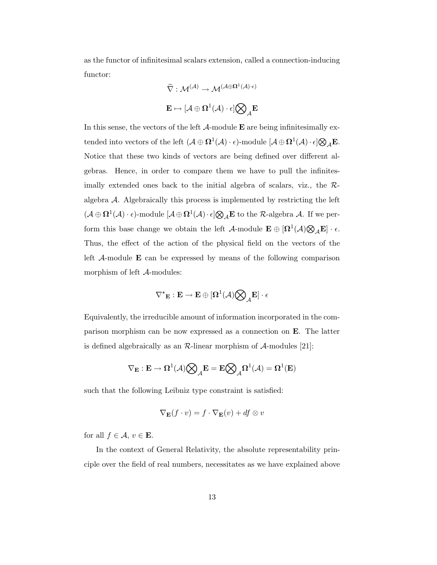as the functor of infinitesimal scalars extension, called a connection-inducing functor:

$$
\widehat{\nabla} : \mathcal{M}^{(\mathcal{A})} \to \mathcal{M}^{(\mathcal{A} \oplus \Omega^1(\mathcal{A}) \cdot \epsilon)} \\[.5em] \mathbf{E} \mapsto [\mathcal{A} \oplus \Omega^1(\mathcal{A}) \cdot \epsilon] \bigotimes\nolimits_{\mathcal{A}} \mathbf{E}
$$

In this sense, the vectors of the left  $\mathcal A$ -module  $\mathbf E$  are being infinitesimally extended into vectors of the left  $(\mathcal{A} \oplus \mathbf{\Omega}^1(\mathcal{A}) \cdot \epsilon)$ -module  $[\mathcal{A} \oplus \mathbf{\Omega}^1(\mathcal{A}) \cdot \epsilon] \bigotimes_{\mathcal{A}} \mathbf{E}$ . Notice that these two kinds of vectors are being defined over different algebras. Hence, in order to compare them we have to pull the infinitesimally extended ones back to the initial algebra of scalars, viz., the Ralgebra  $A$ . Algebraically this process is implemented by restricting the left  $(\mathcal{A} \oplus \Omega^1(\mathcal{A}) \cdot \epsilon)$ -module  $[\mathcal{A} \oplus \Omega^1(\mathcal{A}) \cdot \epsilon] \bigotimes_{\mathcal{A}} \mathbf{E}$  to the  $\mathcal{R}$ -algebra  $\mathcal{A}$ . If we perform this base change we obtain the left  $\mathcal{A}$ -module  $\mathbf{E} \oplus [\Omega^1(\mathcal{A}) \bigotimes_{\mathcal{A}} \mathbf{E}] \cdot \epsilon$ . Thus, the effect of the action of the physical field on the vectors of the left  $A$ -module  $E$  can be expressed by means of the following comparison morphism of left A-modules:

$$
\nabla^\star {}_{\bf E} : {\bf E} \rightarrow {\bf E} \oplus [\Omega^1({\mathcal A}) \bigotimes\nolimits_{{\mathcal A}} {\bf E}] \cdot \epsilon
$$

Equivalently, the irreducible amount of information incorporated in the comparison morphism can be now expressed as a connection on E. The latter is defined algebraically as an  $\mathcal{R}$ -linear morphism of  $\mathcal{A}$ -modules [21]:

$$
\nabla_{\mathbf{E}}:\mathbf{E}\rightarrow \mathbf{\Omega}^1(\mathcal{A})\bigotimes_{\mathcal{A}}\!\mathbf{E}=\mathbf{E}\bigotimes_{\mathcal{A}}\!\mathbf{\Omega}^1(\mathcal{A})=\mathbf{\Omega}^1(\mathbf{E})
$$

such that the following Leibniz type constraint is satisfied:

$$
\nabla_{\mathbf{E}}(f \cdot v) = f \cdot \nabla_{\mathbf{E}}(v) + df \otimes v
$$

for all  $f \in \mathcal{A}, v \in \mathbf{E}$ .

In the context of General Relativity, the absolute representability principle over the field of real numbers, necessitates as we have explained above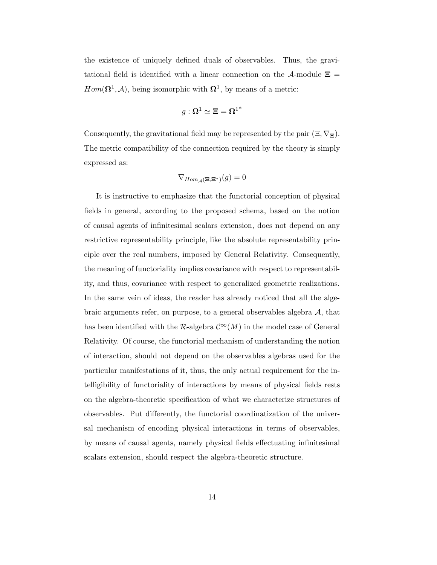the existence of uniquely defined duals of observables. Thus, the gravitational field is identified with a linear connection on the  $\mathcal{A}$ -module  $\Xi$  =  $Hom(\mathbf{\Omega}^1, \mathcal{A})$ , being isomorphic with  $\mathbf{\Omega}^1$ , by means of a metric:

$$
g:\mathbf{\Omega}^1\simeq \mathbf{\Xi}=\mathbf{\Omega}^{1^*}
$$

Consequently, the gravitational field may be represented by the pair  $(\Xi, \nabla_{\Xi})$ . The metric compatibility of the connection required by the theory is simply expressed as:

$$
\nabla_{Hom_{\mathcal{A}}(\Xi,\Xi^*)}(g)=0
$$

It is instructive to emphasize that the functorial conception of physical fields in general, according to the proposed schema, based on the notion of causal agents of infinitesimal scalars extension, does not depend on any restrictive representability principle, like the absolute representability principle over the real numbers, imposed by General Relativity. Consequently, the meaning of functoriality implies covariance with respect to representability, and thus, covariance with respect to generalized geometric realizations. In the same vein of ideas, the reader has already noticed that all the algebraic arguments refer, on purpose, to a general observables algebra  $A$ , that has been identified with the R-algebra  $\mathcal{C}^{\infty}(M)$  in the model case of General Relativity. Of course, the functorial mechanism of understanding the notion of interaction, should not depend on the observables algebras used for the particular manifestations of it, thus, the only actual requirement for the intelligibility of functoriality of interactions by means of physical fields rests on the algebra-theoretic specification of what we characterize structures of observables. Put differently, the functorial coordinatization of the universal mechanism of encoding physical interactions in terms of observables, by means of causal agents, namely physical fields effectuating infinitesimal scalars extension, should respect the algebra-theoretic structure.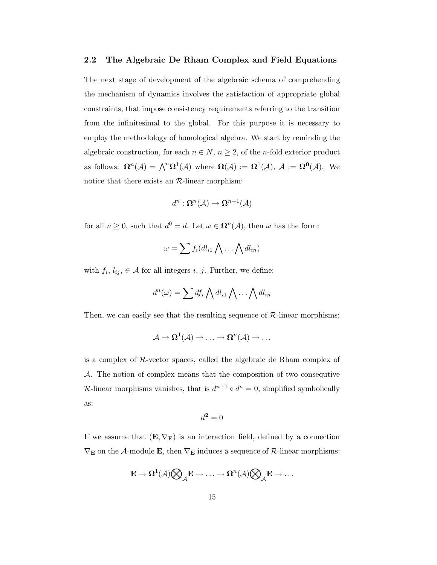#### 2.2 The Algebraic De Rham Complex and Field Equations

The next stage of development of the algebraic schema of comprehending the mechanism of dynamics involves the satisfaction of appropriate global constraints, that impose consistency requirements referring to the transition from the infinitesimal to the global. For this purpose it is necessary to employ the methodology of homological algebra. We start by reminding the algebraic construction, for each  $n \in N$ ,  $n \geq 2$ , of the *n*-fold exterior product as follows:  $\mathbf{\Omega}^n(\mathcal{A}) = \bigwedge^n \mathbf{\Omega}^1(\mathcal{A})$  where  $\mathbf{\Omega}(\mathcal{A}) := \mathbf{\Omega}^1(\mathcal{A}), \ \mathcal{A} := \mathbf{\Omega}^0(\mathcal{A}).$  We notice that there exists an  $R$ -linear morphism:

$$
d^n: \mathbf{\Omega}^n(\mathcal{A}) \to \mathbf{\Omega}^{n+1}(\mathcal{A})
$$

for all  $n \geq 0$ , such that  $d^0 = d$ . Let  $\omega \in \mathbb{\Omega}^n(\mathcal{A})$ , then  $\omega$  has the form:

$$
\omega = \sum f_i(d l_{i1} \bigwedge \dots \bigwedge d l_{in})
$$

with  $f_i, l_{ij}, \in \mathcal{A}$  for all integers i, j. Further, we define:

$$
d^n(\omega) = \sum df_i \bigwedge dl_{i1} \bigwedge \dots \bigwedge dl_{in}
$$

Then, we can easily see that the resulting sequence of  $\mathcal{R}$ -linear morphisms;

$$
\mathcal{A}\to\Omega^1(\mathcal{A})\to\ldots\to\Omega^n(\mathcal{A})\to\ldots
$$

is a complex of  $\mathcal{R}$ -vector spaces, called the algebraic de Rham complex of A. The notion of complex means that the composition of two consequtive R-linear morphisms vanishes, that is  $d^{n+1} \circ d^n = 0$ , simplified symbolically as:

$$
d^2 = 0
$$

If we assume that  $(E, \nabla_E)$  is an interaction field, defined by a connection  $\nabla_{\mathbf{E}}$  on the A-module **E**, then  $\nabla_{\mathbf{E}}$  induces a sequence of  $\mathcal{R}$ -linear morphisms:

$$
\mathbf{E}\rightarrow \Omega^1(\mathcal{A})\bigotimes_{\mathcal{A}}\!\mathbf{E}\rightarrow \ldots \rightarrow \Omega^n(\mathcal{A})\bigotimes_{\mathcal{A}}\!\mathbf{E}\rightarrow \ldots
$$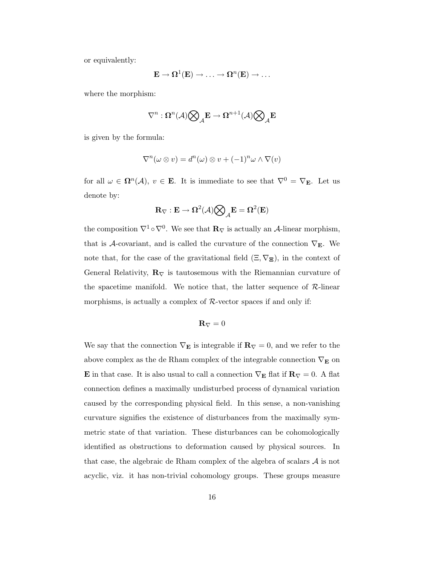or equivalently:

$$
\mathbf{E}\to\mathbf{\Omega}^1(\mathbf{E})\to\ldots\to\mathbf{\Omega}^n(\mathbf{E})\to\ldots
$$

where the morphism:

$$
\nabla^n : \mathbf{\Omega}^n(\mathcal{A})\bigotimes_{\mathcal{A}} \mathbf{E} \rightarrow \mathbf{\Omega}^{n+1}(\mathcal{A})\bigotimes_{\mathcal{A}} \mathbf{E}
$$

is given by the formula:

$$
\nabla^n(\omega \otimes v) = d^n(\omega) \otimes v + (-1)^n \omega \wedge \nabla(v)
$$

for all  $\omega \in \Omega^n(\mathcal{A}), v \in \mathbf{E}$ . It is immediate to see that  $\nabla^0 = \nabla_{\mathbf{E}}$ . Let us denote by:

$$
\mathbf{R}_\nabla : \mathbf{E} \to \Omega^2(\mathcal{A}) \bigotimes_{\mathcal{A}} \mathbf{E} = \Omega^2(\mathbf{E})
$$

the composition  $\nabla^1 \circ \nabla^0$ . We see that  $\mathbf{R}_{\nabla}$  is actually an A-linear morphism, that is  $\mathcal{A}$ -covariant, and is called the curvature of the connection  $\nabla_{\mathbf{E}}$ . We note that, for the case of the gravitational field  $(\Xi, \nabla_{\Xi})$ , in the context of General Relativity,  $\mathbf{R}_{\nabla}$  is tautosemous with the Riemannian curvature of the spacetime manifold. We notice that, the latter sequence of  $\mathcal{R}$ -linear morphisms, is actually a complex of  $\mathcal{R}\text{-vector spaces}$  if and only if:

$$
{\bf R}_{\nabla}=0
$$

We say that the connection  $\nabla_{\bf E}$  is integrable if  ${\bf R}_\nabla=0,$  and we refer to the above complex as the de Rham complex of the integrable connection  $\nabla_{\mathbf{E}}$  on **E** in that case. It is also usual to call a connection  $\nabla$ **E** flat if **R**<sub> $\nabla$ </sub> = 0. A flat connection defines a maximally undisturbed process of dynamical variation caused by the corresponding physical field. In this sense, a non-vanishing curvature signifies the existence of disturbances from the maximally symmetric state of that variation. These disturbances can be cohomologically identified as obstructions to deformation caused by physical sources. In that case, the algebraic de Rham complex of the algebra of scalars  $A$  is not acyclic, viz. it has non-trivial cohomology groups. These groups measure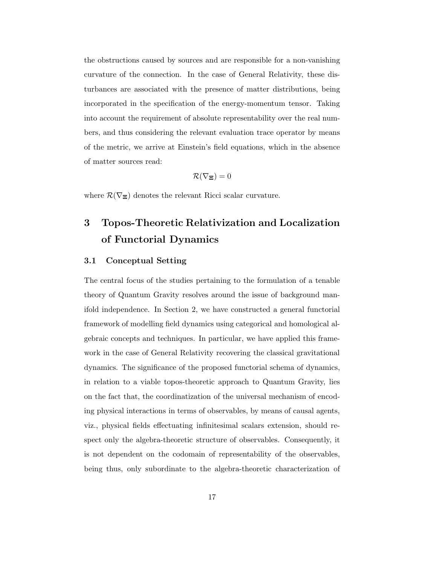the obstructions caused by sources and are responsible for a non-vanishing curvature of the connection. In the case of General Relativity, these disturbances are associated with the presence of matter distributions, being incorporated in the specification of the energy-momentum tensor. Taking into account the requirement of absolute representability over the real numbers, and thus considering the relevant evaluation trace operator by means of the metric, we arrive at Einstein's field equations, which in the absence of matter sources read:

$$
\mathcal{R}(\nabla_{\bm{\Xi}})=0
$$

where  $\mathcal{R}(\nabla_{\Xi})$  denotes the relevant Ricci scalar curvature.

## 3 Topos-Theoretic Relativization and Localization of Functorial Dynamics

### 3.1 Conceptual Setting

The central focus of the studies pertaining to the formulation of a tenable theory of Quantum Gravity resolves around the issue of background manifold independence. In Section 2, we have constructed a general functorial framework of modelling field dynamics using categorical and homological algebraic concepts and techniques. In particular, we have applied this framework in the case of General Relativity recovering the classical gravitational dynamics. The significance of the proposed functorial schema of dynamics, in relation to a viable topos-theoretic approach to Quantum Gravity, lies on the fact that, the coordinatization of the universal mechanism of encoding physical interactions in terms of observables, by means of causal agents, viz., physical fields effectuating infinitesimal scalars extension, should respect only the algebra-theoretic structure of observables. Consequently, it is not dependent on the codomain of representability of the observables, being thus, only subordinate to the algebra-theoretic characterization of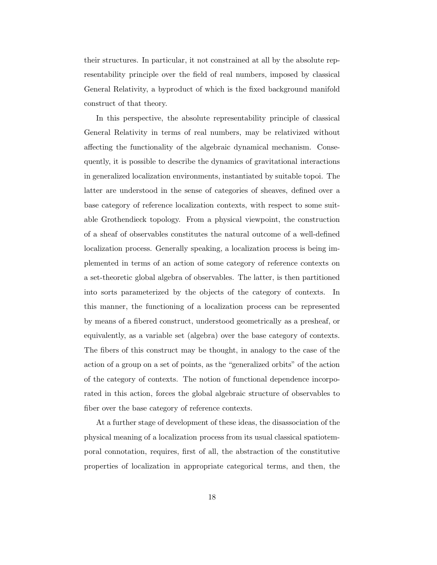their structures. In particular, it not constrained at all by the absolute representability principle over the field of real numbers, imposed by classical General Relativity, a byproduct of which is the fixed background manifold construct of that theory.

In this perspective, the absolute representability principle of classical General Relativity in terms of real numbers, may be relativized without affecting the functionality of the algebraic dynamical mechanism. Consequently, it is possible to describe the dynamics of gravitational interactions in generalized localization environments, instantiated by suitable topoi. The latter are understood in the sense of categories of sheaves, defined over a base category of reference localization contexts, with respect to some suitable Grothendieck topology. From a physical viewpoint, the construction of a sheaf of observables constitutes the natural outcome of a well-defined localization process. Generally speaking, a localization process is being implemented in terms of an action of some category of reference contexts on a set-theoretic global algebra of observables. The latter, is then partitioned into sorts parameterized by the objects of the category of contexts. In this manner, the functioning of a localization process can be represented by means of a fibered construct, understood geometrically as a presheaf, or equivalently, as a variable set (algebra) over the base category of contexts. The fibers of this construct may be thought, in analogy to the case of the action of a group on a set of points, as the "generalized orbits" of the action of the category of contexts. The notion of functional dependence incorporated in this action, forces the global algebraic structure of observables to fiber over the base category of reference contexts.

At a further stage of development of these ideas, the disassociation of the physical meaning of a localization process from its usual classical spatiotemporal connotation, requires, first of all, the abstraction of the constitutive properties of localization in appropriate categorical terms, and then, the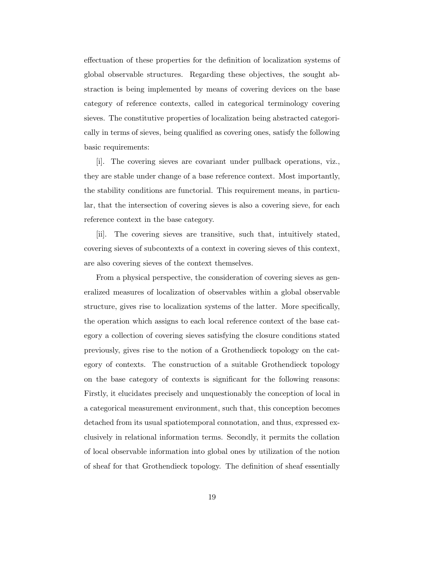effectuation of these properties for the definition of localization systems of global observable structures. Regarding these objectives, the sought abstraction is being implemented by means of covering devices on the base category of reference contexts, called in categorical terminology covering sieves. The constitutive properties of localization being abstracted categorically in terms of sieves, being qualified as covering ones, satisfy the following basic requirements:

[i]. The covering sieves are covariant under pullback operations, viz., they are stable under change of a base reference context. Most importantly, the stability conditions are functorial. This requirement means, in particular, that the intersection of covering sieves is also a covering sieve, for each reference context in the base category.

[ii]. The covering sieves are transitive, such that, intuitively stated, covering sieves of subcontexts of a context in covering sieves of this context, are also covering sieves of the context themselves.

From a physical perspective, the consideration of covering sieves as generalized measures of localization of observables within a global observable structure, gives rise to localization systems of the latter. More specifically, the operation which assigns to each local reference context of the base category a collection of covering sieves satisfying the closure conditions stated previously, gives rise to the notion of a Grothendieck topology on the category of contexts. The construction of a suitable Grothendieck topology on the base category of contexts is significant for the following reasons: Firstly, it elucidates precisely and unquestionably the conception of local in a categorical measurement environment, such that, this conception becomes detached from its usual spatiotemporal connotation, and thus, expressed exclusively in relational information terms. Secondly, it permits the collation of local observable information into global ones by utilization of the notion of sheaf for that Grothendieck topology. The definition of sheaf essentially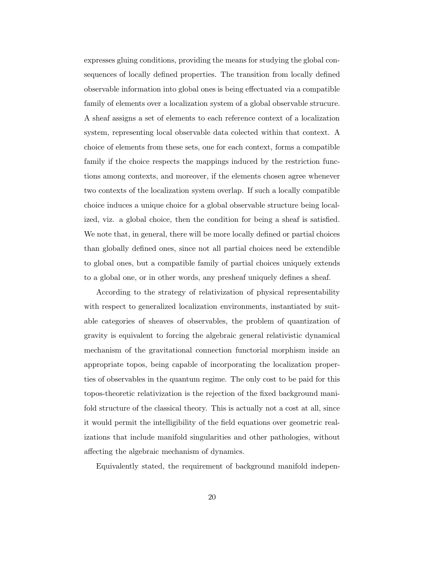expresses gluing conditions, providing the means for studying the global consequences of locally defined properties. The transition from locally defined observable information into global ones is being effectuated via a compatible family of elements over a localization system of a global observable strucure. A sheaf assigns a set of elements to each reference context of a localization system, representing local observable data colected within that context. A choice of elements from these sets, one for each context, forms a compatible family if the choice respects the mappings induced by the restriction functions among contexts, and moreover, if the elements chosen agree whenever two contexts of the localization system overlap. If such a locally compatible choice induces a unique choice for a global observable structure being localized, viz. a global choice, then the condition for being a sheaf is satisfied. We note that, in general, there will be more locally defined or partial choices than globally defined ones, since not all partial choices need be extendible to global ones, but a compatible family of partial choices uniquely extends to a global one, or in other words, any presheaf uniquely defines a sheaf.

According to the strategy of relativization of physical representability with respect to generalized localization environments, instantiated by suitable categories of sheaves of observables, the problem of quantization of gravity is equivalent to forcing the algebraic general relativistic dynamical mechanism of the gravitational connection functorial morphism inside an appropriate topos, being capable of incorporating the localization properties of observables in the quantum regime. The only cost to be paid for this topos-theoretic relativization is the rejection of the fixed background manifold structure of the classical theory. This is actually not a cost at all, since it would permit the intelligibility of the field equations over geometric realizations that include manifold singularities and other pathologies, without affecting the algebraic mechanism of dynamics.

Equivalently stated, the requirement of background manifold indepen-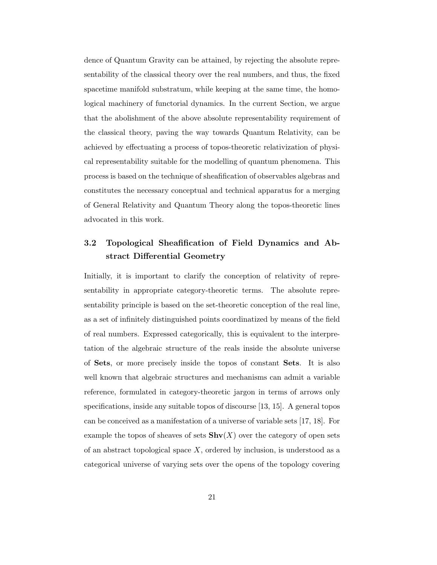dence of Quantum Gravity can be attained, by rejecting the absolute representability of the classical theory over the real numbers, and thus, the fixed spacetime manifold substratum, while keeping at the same time, the homological machinery of functorial dynamics. In the current Section, we argue that the abolishment of the above absolute representability requirement of the classical theory, paving the way towards Quantum Relativity, can be achieved by effectuating a process of topos-theoretic relativization of physical representability suitable for the modelling of quantum phenomena. This process is based on the technique of sheafification of observables algebras and constitutes the necessary conceptual and technical apparatus for a merging of General Relativity and Quantum Theory along the topos-theoretic lines advocated in this work.

## 3.2 Topological Sheafification of Field Dynamics and Abstract Differential Geometry

Initially, it is important to clarify the conception of relativity of representability in appropriate category-theoretic terms. The absolute representability principle is based on the set-theoretic conception of the real line, as a set of infinitely distinguished points coordinatized by means of the field of real numbers. Expressed categorically, this is equivalent to the interpretation of the algebraic structure of the reals inside the absolute universe of Sets, or more precisely inside the topos of constant Sets. It is also well known that algebraic structures and mechanisms can admit a variable reference, formulated in category-theoretic jargon in terms of arrows only specifications, inside any suitable topos of discourse [13, 15]. A general topos can be conceived as a manifestation of a universe of variable sets [17, 18]. For example the topos of sheaves of sets  $\text{Shv}(X)$  over the category of open sets of an abstract topological space  $X$ , ordered by inclusion, is understood as a categorical universe of varying sets over the opens of the topology covering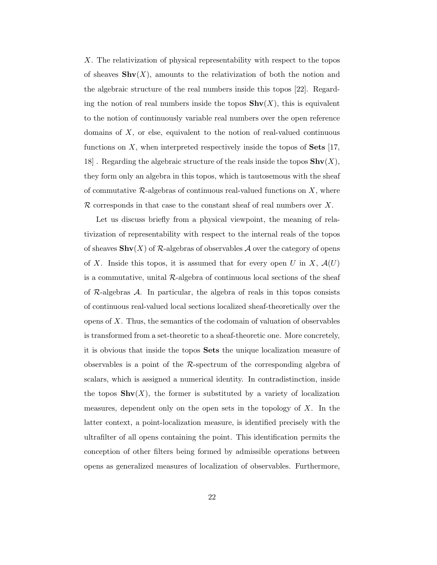X. The relativization of physical representability with respect to the topos of sheaves  $\textbf{Shv}(X)$ , amounts to the relativization of both the notion and the algebraic structure of the real numbers inside this topos [22]. Regarding the notion of real numbers inside the topos  $\text{Shv}(X)$ , this is equivalent to the notion of continuously variable real numbers over the open reference domains of  $X$ , or else, equivalent to the notion of real-valued continuous functions on X, when interpreted respectively inside the topos of Sets  $[17,$ 18. Regarding the algebraic structure of the reals inside the topos  $\textbf{Shv}(X)$ , they form only an algebra in this topos, which is tautosemous with the sheaf of commutative  $\mathcal{R}$ -algebras of continuous real-valued functions on X, where  $\mathcal R$  corresponds in that case to the constant sheaf of real numbers over X.

Let us discuss briefly from a physical viewpoint, the meaning of relativization of representability with respect to the internal reals of the topos of sheaves  $\text{Shv}(X)$  of R-algebras of observables A over the category of opens of X. Inside this topos, it is assumed that for every open U in X,  $\mathcal{A}(U)$ is a commutative, unital  $\mathcal{R}$ -algebra of continuous local sections of the sheaf of  $\mathcal{R}$ -algebras  $\mathcal{A}$ . In particular, the algebra of reals in this topos consists of continuous real-valued local sections localized sheaf-theoretically over the opens of X. Thus, the semantics of the codomain of valuation of observables is transformed from a set-theoretic to a sheaf-theoretic one. More concretely, it is obvious that inside the topos Sets the unique localization measure of observables is a point of the  $\mathcal{R}$ -spectrum of the corresponding algebra of scalars, which is assigned a numerical identity. In contradistinction, inside the topos  $\textbf{Shv}(X)$ , the former is substituted by a variety of localization measures, dependent only on the open sets in the topology of  $X$ . In the latter context, a point-localization measure, is identified precisely with the ultrafilter of all opens containing the point. This identification permits the conception of other filters being formed by admissible operations between opens as generalized measures of localization of observables. Furthermore,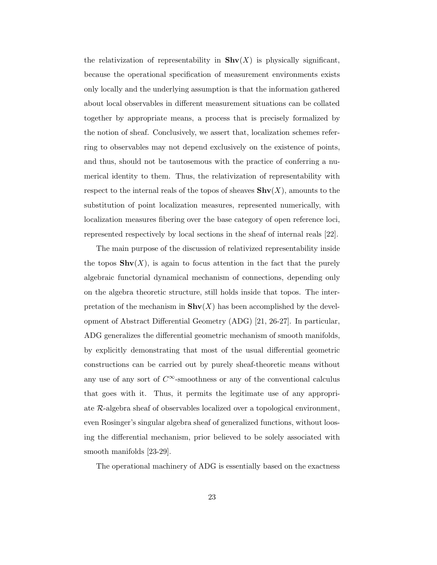the relativization of representability in  $\text{Shv}(X)$  is physically significant, because the operational specification of measurement environments exists only locally and the underlying assumption is that the information gathered about local observables in different measurement situations can be collated together by appropriate means, a process that is precisely formalized by the notion of sheaf. Conclusively, we assert that, localization schemes referring to observables may not depend exclusively on the existence of points, and thus, should not be tautosemous with the practice of conferring a numerical identity to them. Thus, the relativization of representability with respect to the internal reals of the topos of sheaves  $\text{Shv}(X)$ , amounts to the substitution of point localization measures, represented numerically, with localization measures fibering over the base category of open reference loci, represented respectively by local sections in the sheaf of internal reals [22].

The main purpose of the discussion of relativized representability inside the topos  $\textbf{Shv}(X)$ , is again to focus attention in the fact that the purely algebraic functorial dynamical mechanism of connections, depending only on the algebra theoretic structure, still holds inside that topos. The interpretation of the mechanism in  $\text{Shv}(X)$  has been accomplished by the development of Abstract Differential Geometry (ADG) [21, 26-27]. In particular, ADG generalizes the differential geometric mechanism of smooth manifolds, by explicitly demonstrating that most of the usual differential geometric constructions can be carried out by purely sheaf-theoretic means without any use of any sort of  $C^{\infty}$ -smoothness or any of the conventional calculus that goes with it. Thus, it permits the legitimate use of any appropriate R-algebra sheaf of observables localized over a topological environment, even Rosinger's singular algebra sheaf of generalized functions, without loosing the differential mechanism, prior believed to be solely associated with smooth manifolds [23-29].

The operational machinery of ADG is essentially based on the exactness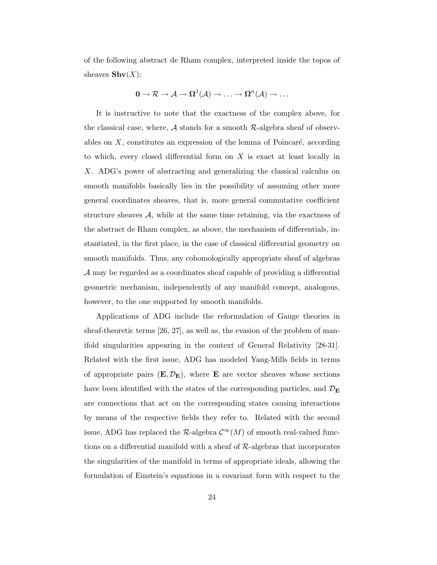of the following abstract de Rham complex, interpreted inside the topos of sheaves  $\mathbf{Shv}(X)$ :

$$
0\to {\mathcal R}\to {\mathcal A}\to \Omega^1({\mathcal A})\to \ldots \to \Omega^n({\mathcal A})\to \ldots
$$

It is instructive to note that the exactness of the complex above, for the classical case, where,  $\mathcal A$  stands for a smooth  $\mathcal R$ -algebra sheaf of observables on  $X$ , constitutes an expression of the lemma of Poincaré, according to which, every closed differential form on  $X$  is exact at least locally in X. ADG's power of abstracting and generalizing the classical calculus on smooth manifolds basically lies in the possibility of assuming other more general coordinates sheaves, that is, more general commutative coefficient structure sheaves  $A$ , while at the same time retaining, via the exactness of the abstract de Rham complex, as above, the mechanism of differentials, instantiated, in the first place, in the case of classical differential geometry on smooth manifolds. Thus, any cohomologically appropriate sheaf of algebras A may be regarded as a coordinates sheaf capable of providing a differential geometric mechanism, independently of any manifold concept, analogous, however, to the one supported by smooth manifolds.

Applications of ADG include the reformulation of Gauge theories in sheaf-theoretic terms [26, 27], as well as, the evasion of the problem of manifold singularities appearing in the context of General Relativity [28-31]. Related with the first issue, ADG has modeled Yang-Mills fields in terms of appropriate pairs  $(E, \mathcal{D}_E)$ , where **E** are vector sheaves whose sections have been identified with the states of the corresponding particles, and  $\mathcal{D}_{\mathbf{E}}$ are connections that act on the corresponding states causing interactions by means of the respective fields they refer to. Related with the second issue, ADG has replaced the  $\mathcal{R}\text{-algebra }\mathcal{C}^{\infty}(M)$  of smooth real-valued functions on a differential manifold with a sheaf of  $R$ -algebras that incorporates the singularities of the manifold in terms of appropriate ideals, allowing the formulation of Einstein's equations in a covariant form with respect to the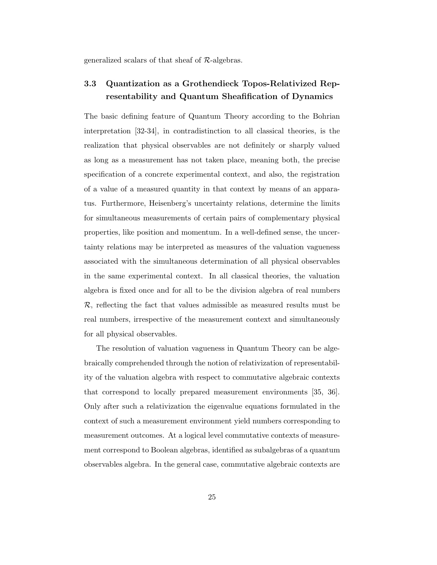generalized scalars of that sheaf of R-algebras.

## 3.3 Quantization as a Grothendieck Topos-Relativized Representability and Quantum Sheafification of Dynamics

The basic defining feature of Quantum Theory according to the Bohrian interpretation [32-34], in contradistinction to all classical theories, is the realization that physical observables are not definitely or sharply valued as long as a measurement has not taken place, meaning both, the precise specification of a concrete experimental context, and also, the registration of a value of a measured quantity in that context by means of an apparatus. Furthermore, Heisenberg's uncertainty relations, determine the limits for simultaneous measurements of certain pairs of complementary physical properties, like position and momentum. In a well-defined sense, the uncertainty relations may be interpreted as measures of the valuation vagueness associated with the simultaneous determination of all physical observables in the same experimental context. In all classical theories, the valuation algebra is fixed once and for all to be the division algebra of real numbers  $\mathcal{R}$ , reflecting the fact that values admissible as measured results must be real numbers, irrespective of the measurement context and simultaneously for all physical observables.

The resolution of valuation vagueness in Quantum Theory can be algebraically comprehended through the notion of relativization of representability of the valuation algebra with respect to commutative algebraic contexts that correspond to locally prepared measurement environments [35, 36]. Only after such a relativization the eigenvalue equations formulated in the context of such a measurement environment yield numbers corresponding to measurement outcomes. At a logical level commutative contexts of measurement correspond to Boolean algebras, identified as subalgebras of a quantum observables algebra. In the general case, commutative algebraic contexts are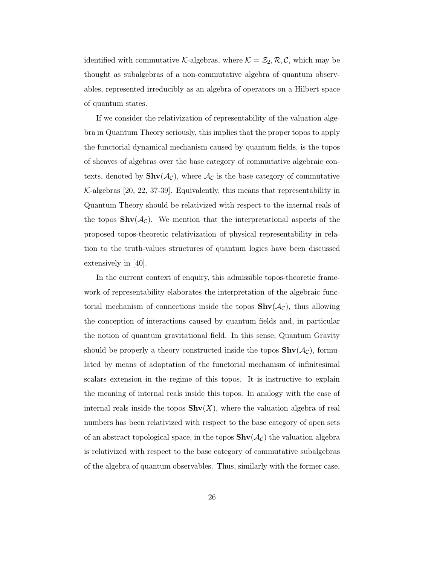identified with commutative K-algebras, where  $\mathcal{K} = \mathcal{Z}_2, \mathcal{R}, \mathcal{C}$ , which may be thought as subalgebras of a non-commutative algebra of quantum observables, represented irreducibly as an algebra of operators on a Hilbert space of quantum states.

If we consider the relativization of representability of the valuation algebra in Quantum Theory seriously, this implies that the proper topos to apply the functorial dynamical mechanism caused by quantum fields, is the topos of sheaves of algebras over the base category of commutative algebraic contexts, denoted by  $\textbf{Shv}(\mathcal{A}_{\mathcal{C}})$ , where  $\mathcal{A}_{\mathcal{C}}$  is the base category of commutative  $K$ -algebras [20, 22, 37-39]. Equivalently, this means that representability in Quantum Theory should be relativized with respect to the internal reals of the topos  $\text{Shv}(\mathcal{A}_{\mathcal{C}})$ . We mention that the interpretational aspects of the proposed topos-theoretic relativization of physical representability in relation to the truth-values structures of quantum logics have been discussed extensively in [40].

In the current context of enquiry, this admissible topos-theoretic framework of representability elaborates the interpretation of the algebraic functorial mechanism of connections inside the topos  $\text{Shv}(\mathcal{A}_{\mathcal{C}})$ , thus allowing the conception of interactions caused by quantum fields and, in particular the notion of quantum gravitational field. In this sense, Quantum Gravity should be properly a theory constructed inside the topos  $\text{Shv}(\mathcal{A}_{\mathcal{C}})$ , formulated by means of adaptation of the functorial mechanism of infinitesimal scalars extension in the regime of this topos. It is instructive to explain the meaning of internal reals inside this topos. In analogy with the case of internal reals inside the topos  $\text{Shv}(X)$ , where the valuation algebra of real numbers has been relativized with respect to the base category of open sets of an abstract topological space, in the topos  $\text{Shv}(\mathcal{A}_{\mathcal{C}})$  the valuation algebra is relativized with respect to the base category of commutative subalgebras of the algebra of quantum observables. Thus, similarly with the former case,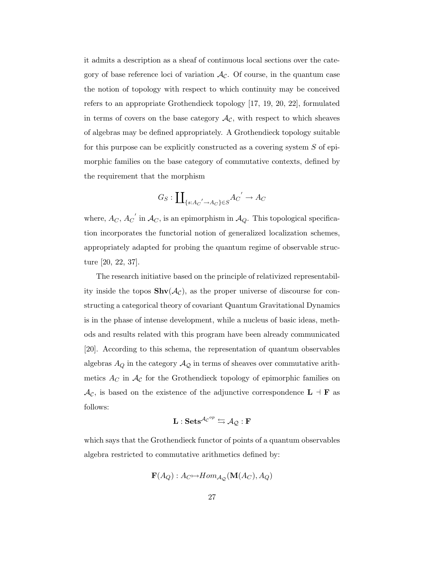it admits a description as a sheaf of continuous local sections over the category of base reference loci of variation  $\mathcal{A}_{\mathcal{C}}$ . Of course, in the quantum case the notion of topology with respect to which continuity may be conceived refers to an appropriate Grothendieck topology [17, 19, 20, 22], formulated in terms of covers on the base category  $\mathcal{A}_{\mathcal{C}}$ , with respect to which sheaves of algebras may be defined appropriately. A Grothendieck topology suitable for this purpose can be explicitly constructed as a covering system S of epimorphic families on the base category of commutative contexts, defined by the requirement that the morphism

$$
G_S: \coprod\nolimits_{\{s: A_C' \to A_C\} \in S} A_C' \to A_C
$$

where,  $A_C$ ,  $A_C^{\prime}$  in  $\mathcal{A}_C$ , is an epimorphism in  $\mathcal{A}_Q$ . This topological specification incorporates the functorial notion of generalized localization schemes, appropriately adapted for probing the quantum regime of observable structure [20, 22, 37].

The research initiative based on the principle of relativized representability inside the topos  $\text{Shv}(\mathcal{A}_{\mathcal{C}})$ , as the proper universe of discourse for constructing a categorical theory of covariant Quantum Gravitational Dynamics is in the phase of intense development, while a nucleus of basic ideas, methods and results related with this program have been already communicated [20]. According to this schema, the representation of quantum observables algebras  $A_Q$  in the category  $\mathcal{A}_{\mathcal{Q}}$  in terms of sheaves over commutative arithmetics  $A_C$  in  $\mathcal{A}_{\mathcal{C}}$  for the Grothendieck topology of epimorphic families on  $\mathcal{A}_{\mathcal{C}}$ , is based on the existence of the adjunctive correspondence  $L \dashv \mathbf{F}$  as follows:

$$
\mathbf{L}:\mathbf{Sets}^{\mathcal{A}_{\mathcal{C}}^{op}}\leftrightarrows\mathcal{A}_{\mathcal{Q}}:\mathbf{F}
$$

which says that the Grothendieck functor of points of a quantum observables algebra restricted to commutative arithmetics defined by:

$$
\mathbf{F}(A_Q): A_C \rightarrow Hom_{\mathcal{A}_Q}(\mathbf{M}(A_C), A_Q)
$$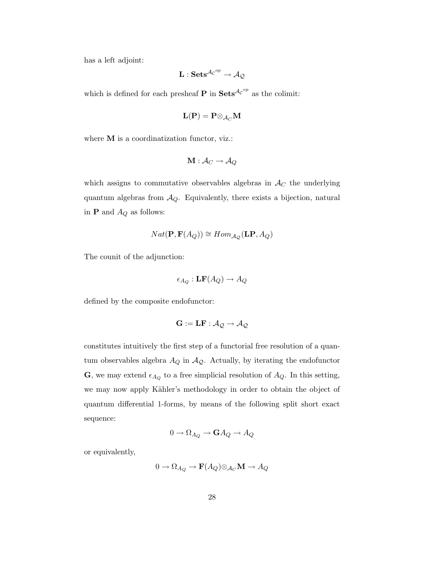has a left adjoint:

$$
\mathbf{L}: \mathbf{Sets}^{\mathcal{A_C}^{op}} \rightarrow \mathcal{A_Q}
$$

which is defined for each presheaf **P** in  $\textbf{Sets}^{\mathcal{AC}^{op}}$  as the colimit:

$$
\mathbf{L}(\mathbf{P})=\mathbf{P}{\otimes}_{\mathcal{A}_C}\mathbf{M}
$$

where **M** is a coordinatization functor, viz.:

$$
\mathbf{M}:\mathcal{A}_{C}\to\mathcal{A}_{Q}
$$

which assigns to commutative observables algebras in  $\mathcal{A}_C$  the underlying quantum algebras from  $A_Q$ . Equivalently, there exists a bijection, natural in **P** and  $A_Q$  as follows:

$$
Nat(\mathbf{P}, \mathbf{F}(A_Q)) \cong Hom_{\mathcal{A}_{\mathcal{Q}}}(\mathbf{LP}, A_Q)
$$

The counit of the adjunction:

$$
\epsilon_{A_Q} : \mathbf{LF}(A_Q) \to A_Q
$$

defined by the composite endofunctor:

$$
\mathbf{G}:=\mathbf{L}\mathbf{F}:\mathcal{A}_{\mathcal{Q}}\rightarrow\mathcal{A}_{\mathcal{Q}}
$$

constitutes intuitively the first step of a functorial free resolution of a quantum observables algebra  $A_Q$  in  $A_Q$ . Actually, by iterating the endofunctor **G**, we may extend  $\epsilon_{A_Q}$  to a free simplicial resolution of  $A_Q$ . In this setting, we may now apply Kähler's methodology in order to obtain the object of quantum differential 1-forms, by means of the following split short exact sequence:

$$
0 \to \Omega_{A_Q} \to \mathbf{G} A_Q \to A_Q
$$

or equivalently,

$$
0 \to \Omega_{A_Q} \to \mathbf{F}(A_Q) \otimes_{\mathcal{A}_C} \mathbf{M} \to A_Q
$$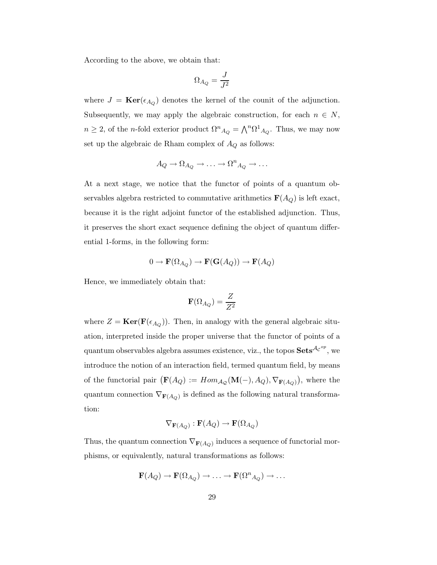According to the above, we obtain that:

$$
\Omega_{A_Q}=\frac{J}{J^2}
$$

where  $J = \text{Ker}(\epsilon_{A_Q})$  denotes the kernel of the counit of the adjunction. Subsequently, we may apply the algebraic construction, for each  $n \in N$ ,  $n \geq 2$ , of the *n*-fold exterior product  $\Omega^n{}_{A_Q} = \bigwedge^n \Omega^1{}_{A_Q}$ . Thus, we may now set up the algebraic de Rham complex of  $A_Q$  as follows:

$$
A_Q \to \Omega_{A_Q} \to \ldots \to \Omega^n_{A_Q} \to \ldots
$$

At a next stage, we notice that the functor of points of a quantum observables algebra restricted to commutative arithmetics  $\mathbf{F}(A_Q)$  is left exact, because it is the right adjoint functor of the established adjunction. Thus, it preserves the short exact sequence defining the object of quantum differential 1-forms, in the following form:

$$
0 \to \mathbf{F}(\Omega_{A_Q}) \to \mathbf{F}(\mathbf{G}(A_Q)) \to \mathbf{F}(A_Q)
$$

Hence, we immediately obtain that:

$$
\mathbf{F}(\Omega_{A_Q})=\frac{Z}{Z^2}
$$

where  $Z = \text{Ker}(\mathbf{F}(\epsilon_{A_Q}))$ . Then, in analogy with the general algebraic situation, interpreted inside the proper universe that the functor of points of a quantum observables algebra assumes existence, viz., the topos  $\mathbf{Sets}^{\mathcal{A}_{\mathcal{C}}^{op}},$  we introduce the notion of an interaction field, termed quantum field, by means of the functorial pair  $(\mathbf{F}(A_Q)) := Hom_{\mathcal{A}_Q}(\mathbf{M}(-), A_Q), \nabla_{\mathbf{F}(A_Q)}$ , where the quantum connection  $\nabla_{\mathbf{F}(A_Q)}$  is defined as the following natural transformation:

$$
\nabla_{\mathbf{F}(A_Q)} : \mathbf{F}(A_Q) \to \mathbf{F}(\Omega_{A_Q})
$$

Thus, the quantum connection  $\nabla_{\mathbf{F}(A_Q)}$  induces a sequence of functorial morphisms, or equivalently, natural transformations as follows:

$$
\mathbf{F}(A_Q) \to \mathbf{F}(\Omega_{A_Q}) \to \ldots \to \mathbf{F}(\Omega^n_{A_Q}) \to \ldots
$$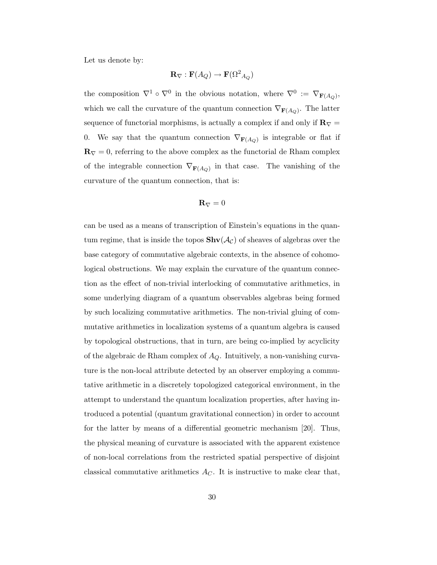Let us denote by:

$$
\mathbf{R}_{\nabla} : \mathbf{F}(A_Q) \to \mathbf{F}(\Omega^2_{\ A_Q})
$$

the composition  $\nabla^1 \circ \nabla^0$  in the obvious notation, where  $\nabla^0 := \nabla_{\mathbf{F}(A_Q)}$ , which we call the curvature of the quantum connection  $\nabla_{\mathbf{F}(A_Q)}$ . The latter sequence of functorial morphisms, is actually a complex if and only if  $\mathbf{R}_{\nabla}$  = 0. We say that the quantum connection  $\nabla_{\mathbf{F}(A_Q)}$  is integrable or flat if  $\mathbf{R}_{\nabla} = 0$ , referring to the above complex as the functorial de Rham complex of the integrable connection  $\nabla_{\mathbf{F}(A_Q)}$  in that case. The vanishing of the curvature of the quantum connection, that is:

$$
{\bf R}_{\nabla}=0
$$

can be used as a means of transcription of Einstein's equations in the quantum regime, that is inside the topos  $\textbf{Shv}(\mathcal{A}_{\mathcal{C}})$  of sheaves of algebras over the base category of commutative algebraic contexts, in the absence of cohomological obstructions. We may explain the curvature of the quantum connection as the effect of non-trivial interlocking of commutative arithmetics, in some underlying diagram of a quantum observables algebras being formed by such localizing commutative arithmetics. The non-trivial gluing of commutative arithmetics in localization systems of a quantum algebra is caused by topological obstructions, that in turn, are being co-implied by acyclicity of the algebraic de Rham complex of  $A_Q$ . Intuitively, a non-vanishing curvature is the non-local attribute detected by an observer employing a commutative arithmetic in a discretely topologized categorical environment, in the attempt to understand the quantum localization properties, after having introduced a potential (quantum gravitational connection) in order to account for the latter by means of a differential geometric mechanism [20]. Thus, the physical meaning of curvature is associated with the apparent existence of non-local correlations from the restricted spatial perspective of disjoint classical commutative arithmetics  $A_C$ . It is instructive to make clear that,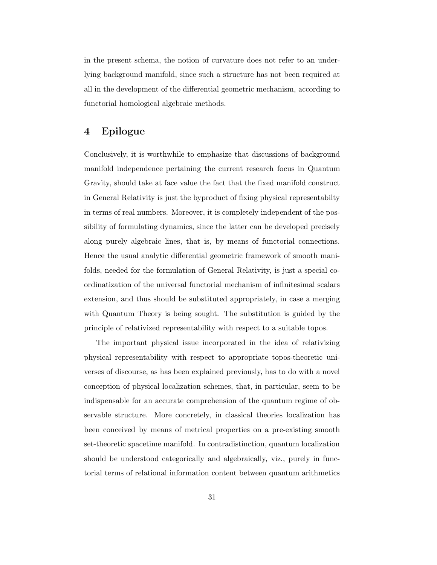in the present schema, the notion of curvature does not refer to an underlying background manifold, since such a structure has not been required at all in the development of the differential geometric mechanism, according to functorial homological algebraic methods.

## 4 Epilogue

Conclusively, it is worthwhile to emphasize that discussions of background manifold independence pertaining the current research focus in Quantum Gravity, should take at face value the fact that the fixed manifold construct in General Relativity is just the byproduct of fixing physical representabilty in terms of real numbers. Moreover, it is completely independent of the possibility of formulating dynamics, since the latter can be developed precisely along purely algebraic lines, that is, by means of functorial connections. Hence the usual analytic differential geometric framework of smooth manifolds, needed for the formulation of General Relativity, is just a special coordinatization of the universal functorial mechanism of infinitesimal scalars extension, and thus should be substituted appropriately, in case a merging with Quantum Theory is being sought. The substitution is guided by the principle of relativized representability with respect to a suitable topos.

The important physical issue incorporated in the idea of relativizing physical representability with respect to appropriate topos-theoretic universes of discourse, as has been explained previously, has to do with a novel conception of physical localization schemes, that, in particular, seem to be indispensable for an accurate comprehension of the quantum regime of observable structure. More concretely, in classical theories localization has been conceived by means of metrical properties on a pre-existing smooth set-theoretic spacetime manifold. In contradistinction, quantum localization should be understood categorically and algebraically, viz., purely in functorial terms of relational information content between quantum arithmetics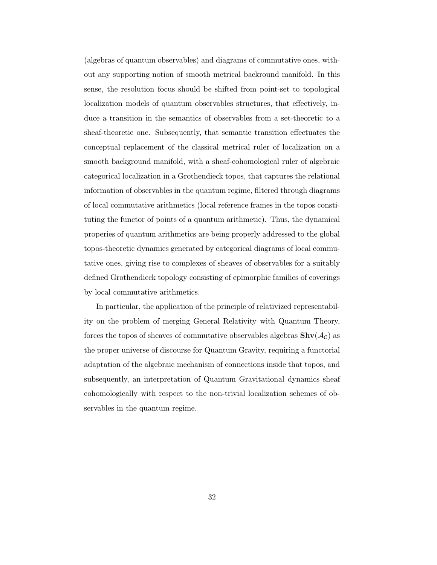(algebras of quantum observables) and diagrams of commutative ones, without any supporting notion of smooth metrical backround manifold. In this sense, the resolution focus should be shifted from point-set to topological localization models of quantum observables structures, that effectively, induce a transition in the semantics of observables from a set-theoretic to a sheaf-theoretic one. Subsequently, that semantic transition effectuates the conceptual replacement of the classical metrical ruler of localization on a smooth background manifold, with a sheaf-cohomological ruler of algebraic categorical localization in a Grothendieck topos, that captures the relational information of observables in the quantum regime, filtered through diagrams of local commutative arithmetics (local reference frames in the topos constituting the functor of points of a quantum arithmetic). Thus, the dynamical properies of quantum arithmetics are being properly addressed to the global topos-theoretic dynamics generated by categorical diagrams of local commutative ones, giving rise to complexes of sheaves of observables for a suitably defined Grothendieck topology consisting of epimorphic families of coverings by local commutative arithmetics.

In particular, the application of the principle of relativized representability on the problem of merging General Relativity with Quantum Theory, forces the topos of sheaves of commutative observables algebras  $\text{Shv}(\mathcal{A}_{\mathcal{C}})$  as the proper universe of discourse for Quantum Gravity, requiring a functorial adaptation of the algebraic mechanism of connections inside that topos, and subsequently, an interpretation of Quantum Gravitational dynamics sheaf cohomologically with respect to the non-trivial localization schemes of observables in the quantum regime.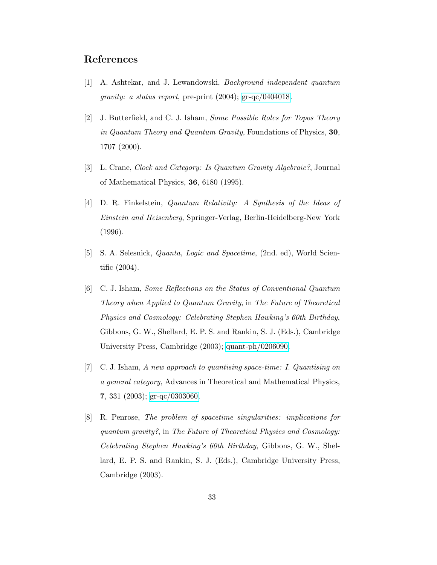## References

- [1] A. Ashtekar, and J. Lewandowski, Background independent quantum gravity: a status report, pre-print (2004); [gr-qc/0404018.](http://arxiv.org/abs/gr-qc/0404018)
- [2] J. Butterfield, and C. J. Isham, Some Possible Roles for Topos Theory in Quantum Theory and Quantum Gravity, Foundations of Physics, 30, 1707 (2000).
- [3] L. Crane, Clock and Category: Is Quantum Gravity Algebraic?, Journal of Mathematical Physics, 36, 6180 (1995).
- [4] D. R. Finkelstein, Quantum Relativity: A Synthesis of the Ideas of Einstein and Heisenberg, Springer-Verlag, Berlin-Heidelberg-New York (1996).
- [5] S. A. Selesnick, Quanta, Logic and Spacetime, (2nd. ed), World Scientific (2004).
- [6] C. J. Isham, Some Reflections on the Status of Conventional Quantum Theory when Applied to Quantum Gravity, in The Future of Theoretical Physics and Cosmology: Celebrating Stephen Hawking's 60th Birthday, Gibbons, G. W., Shellard, E. P. S. and Rankin, S. J. (Eds.), Cambridge University Press, Cambridge (2003); [quant-ph/0206090.](http://arxiv.org/abs/quant-ph/0206090)
- [7] C. J. Isham, A new approach to quantising space-time: I. Quantising on a general category, Advances in Theoretical and Mathematical Physics, 7, 331 (2003); [gr-qc/0303060.](http://arxiv.org/abs/gr-qc/0303060)
- [8] R. Penrose, The problem of spacetime singularities: implications for quantum gravity?, in The Future of Theoretical Physics and Cosmology: Celebrating Stephen Hawking's 60th Birthday, Gibbons, G. W., Shellard, E. P. S. and Rankin, S. J. (Eds.), Cambridge University Press, Cambridge (2003).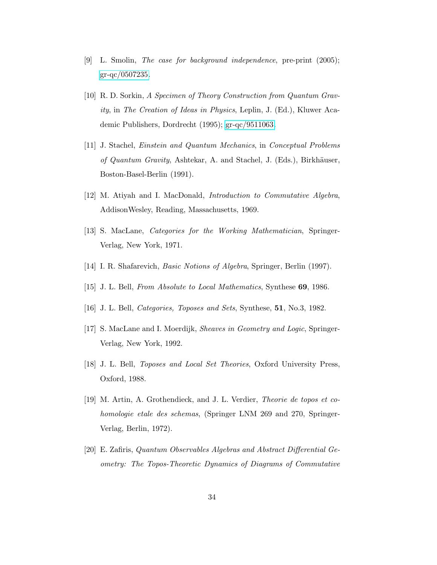- [9] L. Smolin, *The case for background independence*, pre-print  $(2005)$ ; [gr-qc/0507235.](http://arxiv.org/abs/gr-qc/0507235)
- [10] R. D. Sorkin, A Specimen of Theory Construction from Quantum Gravity, in The Creation of Ideas in Physics, Leplin, J. (Ed.), Kluwer Academic Publishers, Dordrecht (1995); [gr-qc/9511063.](http://arxiv.org/abs/gr-qc/9511063)
- [11] J. Stachel, Einstein and Quantum Mechanics, in Conceptual Problems of Quantum Gravity, Ashtekar, A. and Stachel, J. (Eds.), Birkhäuser, Boston-Basel-Berlin (1991).
- [12] M. Atiyah and I. MacDonald, *Introduction to Commutative Algebra*, AddisonWesley, Reading, Massachusetts, 1969.
- [13] S. MacLane, *Categories for the Working Mathematician*, Springer-Verlag, New York, 1971.
- [14] I. R. Shafarevich, *Basic Notions of Algebra*, Springer, Berlin (1997).
- [15] J. L. Bell, From Absolute to Local Mathematics, Synthese 69, 1986.
- [16] J. L. Bell, *Categories, Toposes and Sets*, Synthese, **51**, No.3, 1982.
- [17] S. MacLane and I. Moerdijk, Sheaves in Geometry and Logic, Springer-Verlag, New York, 1992.
- [18] J. L. Bell, *Toposes and Local Set Theories*, Oxford University Press, Oxford, 1988.
- [19] M. Artin, A. Grothendieck, and J. L. Verdier, Theorie de topos et cohomologie etale des schemas, (Springer LNM 269 and 270, Springer-Verlag, Berlin, 1972).
- [20] E. Zafiris, Quantum Observables Algebras and Abstract Differential Geometry: The Topos-Theoretic Dynamics of Diagrams of Commutative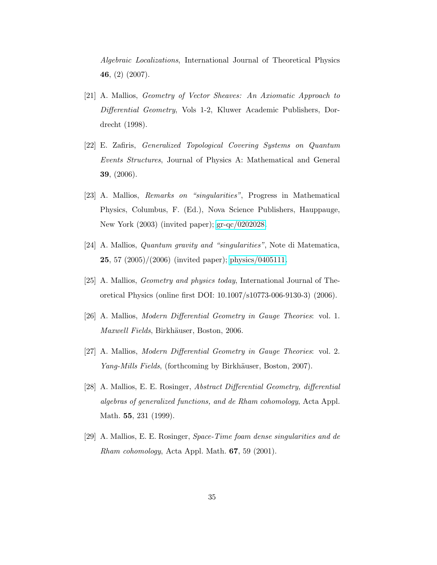Algebraic Localizations, International Journal of Theoretical Physics 46, (2) (2007).

- [21] A. Mallios, Geometry of Vector Sheaves: An Axiomatic Approach to Differential Geometry, Vols 1-2, Kluwer Academic Publishers, Dordrecht (1998).
- [22] E. Zafiris, Generalized Topological Covering Systems on Quantum Events Structures, Journal of Physics A: Mathematical and General 39, (2006).
- [23] A. Mallios, Remarks on "singularities", Progress in Mathematical Physics, Columbus, F. (Ed.), Nova Science Publishers, Hauppauge, New York (2003) (invited paper); [gr-qc/0202028.](http://arxiv.org/abs/gr-qc/0202028)
- [24] A. Mallios, Quantum gravity and "singularities", Note di Matematica, **25**, 57  $(2005)/(2006)$  (invited paper); [physics/0405111.](http://arxiv.org/abs/physics/0405111)
- [25] A. Mallios, Geometry and physics today, International Journal of Theoretical Physics (online first DOI: 10.1007/s10773-006-9130-3) (2006).
- [26] A. Mallios, Modern Differential Geometry in Gauge Theories: vol. 1. Maxwell Fields, Birkhäuser, Boston, 2006.
- [27] A. Mallios, Modern Differential Geometry in Gauge Theories: vol. 2. Yang-Mills Fields, (forthcoming by Birkhäuser, Boston, 2007).
- [28] A. Mallios, E. E. Rosinger, Abstract Differential Geometry, differential algebras of generalized functions, and de Rham cohomology, Acta Appl. Math. 55, 231 (1999).
- [29] A. Mallios, E. E. Rosinger, Space-Time foam dense singularities and de Rham cohomology, Acta Appl. Math. 67, 59 (2001).